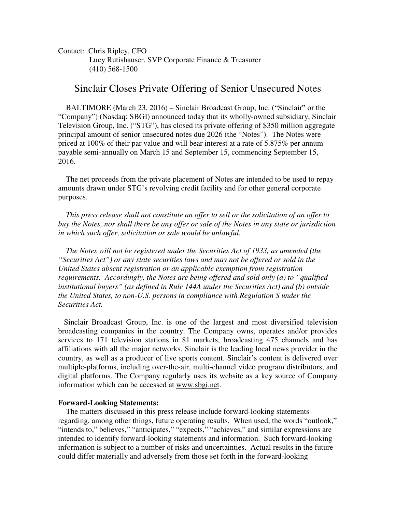Contact: Chris Ripley, CFO Lucy Rutishauser, SVP Corporate Finance & Treasurer (410) 568-1500

## Sinclair Closes Private Offering of Senior Unsecured Notes

BALTIMORE (March 23, 2016) – Sinclair Broadcast Group, Inc. ("Sinclair" or the "Company") (Nasdaq: SBGI) announced today that its wholly-owned subsidiary, Sinclair Television Group, Inc. ("STG"), has closed its private offering of \$350 million aggregate principal amount of senior unsecured notes due 2026 (the "Notes"). The Notes were priced at 100% of their par value and will bear interest at a rate of 5.875% per annum payable semi-annually on March 15 and September 15, commencing September 15, 2016.

 The net proceeds from the private placement of Notes are intended to be used to repay amounts drawn under STG's revolving credit facility and for other general corporate purposes.

 *This press release shall not constitute an offer to sell or the solicitation of an offer to buy the Notes, nor shall there be any offer or sale of the Notes in any state or jurisdiction in which such offer, solicitation or sale would be unlawful.* 

 *The Notes will not be registered under the Securities Act of 1933, as amended (the "Securities Act") or any state securities laws and may not be offered or sold in the United States absent registration or an applicable exemption from registration requirements. Accordingly, the Notes are being offered and sold only (a) to "qualified institutional buyers" (as defined in Rule 144A under the Securities Act) and (b) outside the United States, to non-U.S. persons in compliance with Regulation S under the Securities Act.* 

 Sinclair Broadcast Group, Inc. is one of the largest and most diversified television broadcasting companies in the country. The Company owns, operates and/or provides services to 171 television stations in 81 markets, broadcasting 475 channels and has affiliations with all the major networks. Sinclair is the leading local news provider in the country, as well as a producer of live sports content. Sinclair's content is delivered over multiple-platforms, including over-the-air, multi-channel video program distributors, and digital platforms. The Company regularly uses its website as a key source of Company information which can be accessed at www.sbgi.net.

## **Forward-Looking Statements:**

 The matters discussed in this press release include forward-looking statements regarding, among other things, future operating results. When used, the words "outlook," "intends to," believes," "anticipates," "expects," "achieves," and similar expressions are intended to identify forward-looking statements and information. Such forward-looking information is subject to a number of risks and uncertainties. Actual results in the future could differ materially and adversely from those set forth in the forward-looking